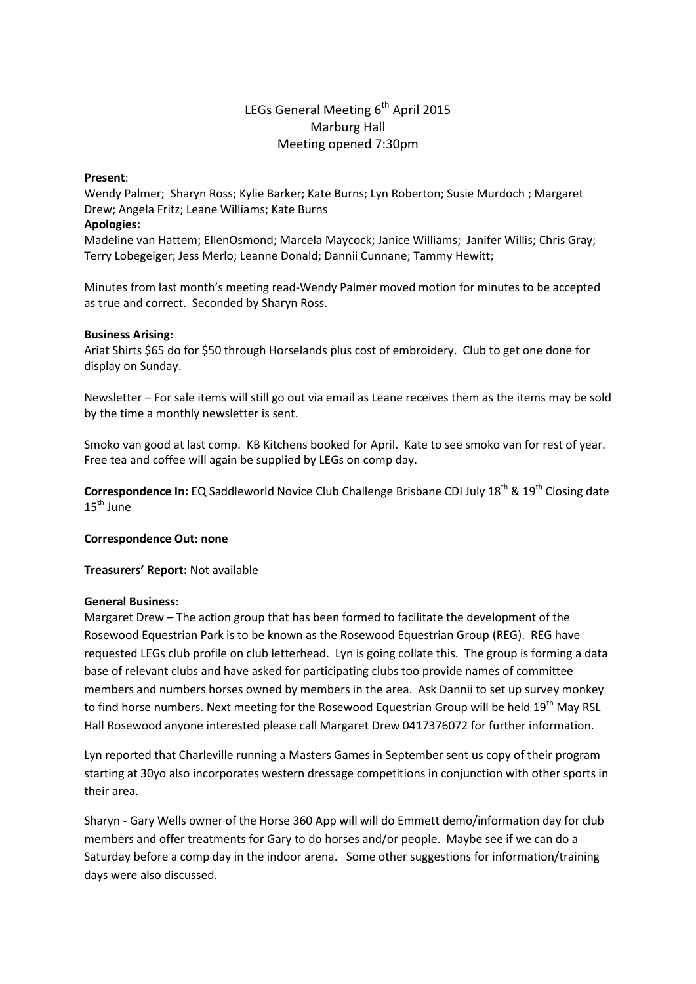# LEGs General Meeting  $6<sup>th</sup>$  April 2015 Marburg Hall Meeting opened 7:30pm

### **Present**:

Wendy Palmer; Sharyn Ross; Kylie Barker; Kate Burns; Lyn Roberton; Susie Murdoch ; Margaret Drew; Angela Fritz; Leane Williams; Kate Burns

#### **Apologies:**

Madeline van Hattem; EllenOsmond; Marcela Maycock; Janice Williams; Janifer Willis; Chris Gray; Terry Lobegeiger; Jess Merlo; Leanne Donald; Dannii Cunnane; Tammy Hewitt;

Minutes from last month's meeting read-Wendy Palmer moved motion for minutes to be accepted as true and correct. Seconded by Sharyn Ross.

#### **Business Arising:**

Ariat Shirts \$65 do for \$50 through Horselands plus cost of embroidery. Club to get one done for display on Sunday.

Newsletter – For sale items will still go out via email as Leane receives them as the items may be sold by the time a monthly newsletter is sent.

Smoko van good at last comp. KB Kitchens booked for April. Kate to see smoko van for rest of year. Free tea and coffee will again be supplied by LEGs on comp day.

Correspondence In: EQ Saddleworld Novice Club Challenge Brisbane CDI July 18<sup>th</sup> & 19<sup>th</sup> Closing date  $15<sup>th</sup>$  June

# **Correspondence Out: none**

#### **Treasurers' Report:** Not available

# **General Business**:

Margaret Drew – The action group that has been formed to facilitate the development of the Rosewood Equestrian Park is to be known as the Rosewood Equestrian Group (REG). REG have requested LEGs club profile on club letterhead. Lyn is going collate this. The group is forming a data base of relevant clubs and have asked for participating clubs too provide names of committee members and numbers horses owned by members in the area. Ask Dannii to set up survey monkey to find horse numbers. Next meeting for the Rosewood Equestrian Group will be held 19<sup>th</sup> May RSL Hall Rosewood anyone interested please call Margaret Drew 0417376072 for further information.

Lyn reported that Charleville running a Masters Games in September sent us copy of their program starting at 30yo also incorporates western dressage competitions in conjunction with other sports in their area.

Sharyn - Gary Wells owner of the Horse 360 App will will do Emmett demo/information day for club members and offer treatments for Gary to do horses and/or people. Maybe see if we can do a Saturday before a comp day in the indoor arena. Some other suggestions for information/training days were also discussed.